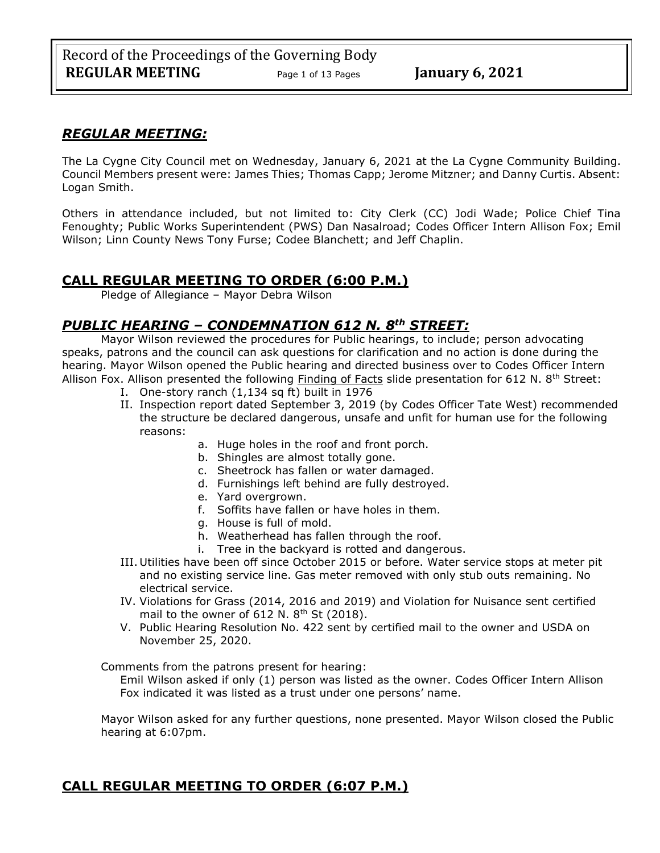# *REGULAR MEETING:*

The La Cygne City Council met on Wednesday, January 6, 2021 at the La Cygne Community Building. Council Members present were: James Thies; Thomas Capp; Jerome Mitzner; and Danny Curtis. Absent: Logan Smith.

Others in attendance included, but not limited to: City Clerk (CC) Jodi Wade; Police Chief Tina Fenoughty; Public Works Superintendent (PWS) Dan Nasalroad; Codes Officer Intern Allison Fox; Emil Wilson; Linn County News Tony Furse; Codee Blanchett; and Jeff Chaplin.

# **CALL REGULAR MEETING TO ORDER (6:00 P.M.)**

Pledge of Allegiance – Mayor Debra Wilson

# *PUBLIC HEARING – CONDEMNATION 612 N. 8th STREET:*

Mayor Wilson reviewed the procedures for Public hearings, to include; person advocating speaks, patrons and the council can ask questions for clarification and no action is done during the hearing. Mayor Wilson opened the Public hearing and directed business over to Codes Officer Intern Allison Fox. Allison presented the following Finding of Facts slide presentation for 612 N. 8<sup>th</sup> Street:

- I. One-story ranch (1,134 sq ft) built in 1976
- II. Inspection report dated September 3, 2019 (by Codes Officer Tate West) recommended the structure be declared dangerous, unsafe and unfit for human use for the following reasons:
	- a. Huge holes in the roof and front porch.
	- b. Shingles are almost totally gone.
	- c. Sheetrock has fallen or water damaged.
	- d. Furnishings left behind are fully destroyed.
	- e. Yard overgrown.
	- f. Soffits have fallen or have holes in them.
	- g. House is full of mold.
	- h. Weatherhead has fallen through the roof.
	- i. Tree in the backyard is rotted and dangerous.
- III. Utilities have been off since October 2015 or before. Water service stops at meter pit and no existing service line. Gas meter removed with only stub outs remaining. No electrical service.
- IV. Violations for Grass (2014, 2016 and 2019) and Violation for Nuisance sent certified mail to the owner of  $612$  N.  $8<sup>th</sup>$  St (2018).
- V. Public Hearing Resolution No. 422 sent by certified mail to the owner and USDA on November 25, 2020.

Comments from the patrons present for hearing:

Emil Wilson asked if only (1) person was listed as the owner. Codes Officer Intern Allison Fox indicated it was listed as a trust under one persons' name.

Mayor Wilson asked for any further questions, none presented. Mayor Wilson closed the Public hearing at 6:07pm.

# **CALL REGULAR MEETING TO ORDER (6:07 P.M.)**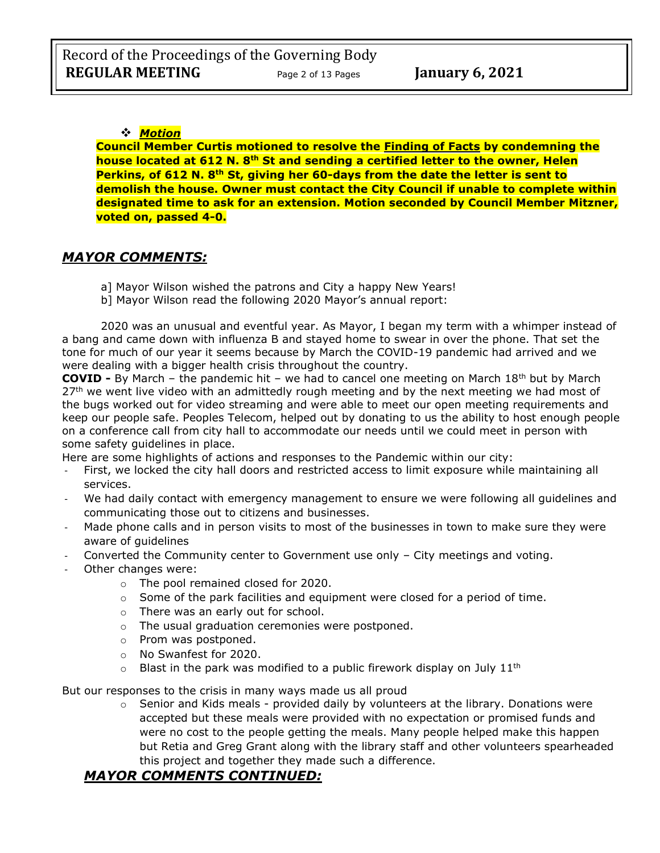### ❖ *Motion*

**Council Member Curtis motioned to resolve the Finding of Facts by condemning the house located at 612 N. 8th St and sending a certified letter to the owner, Helen Perkins, of 612 N. 8th St, giving her 60-days from the date the letter is sent to demolish the house. Owner must contact the City Council if unable to complete within designated time to ask for an extension. Motion seconded by Council Member Mitzner, voted on, passed 4-0.**

# *MAYOR COMMENTS:*

- a] Mayor Wilson wished the patrons and City a happy New Years!
- b] Mayor Wilson read the following 2020 Mayor's annual report:

2020 was an unusual and eventful year. As Mayor, I began my term with a whimper instead of a bang and came down with influenza B and stayed home to swear in over the phone. That set the tone for much of our year it seems because by March the COVID-19 pandemic had arrived and we were dealing with a bigger health crisis throughout the country.

**COVID -** By March – the pandemic hit – we had to cancel one meeting on March 18<sup>th</sup> but by March  $27<sup>th</sup>$  we went live video with an admittedly rough meeting and by the next meeting we had most of the bugs worked out for video streaming and were able to meet our open meeting requirements and keep our people safe. Peoples Telecom, helped out by donating to us the ability to host enough people on a conference call from city hall to accommodate our needs until we could meet in person with some safety guidelines in place.

Here are some highlights of actions and responses to the Pandemic within our city:

- First, we locked the city hall doors and restricted access to limit exposure while maintaining all services.
- We had daily contact with emergency management to ensure we were following all guidelines and communicating those out to citizens and businesses.
- Made phone calls and in person visits to most of the businesses in town to make sure they were aware of guidelines
- Converted the Community center to Government use only  $-$  City meetings and voting.
- Other changes were:
	- o The pool remained closed for 2020.
	- o Some of the park facilities and equipment were closed for a period of time.
	- o There was an early out for school.
	- o The usual graduation ceremonies were postponed.
	- o Prom was postponed.
	- o No Swanfest for 2020.
	- $\circ$  Blast in the park was modified to a public firework display on July 11<sup>th</sup>

But our responses to the crisis in many ways made us all proud

 $\circ$  Senior and Kids meals - provided daily by volunteers at the library. Donations were accepted but these meals were provided with no expectation or promised funds and were no cost to the people getting the meals. Many people helped make this happen but Retia and Greg Grant along with the library staff and other volunteers spearheaded this project and together they made such a difference.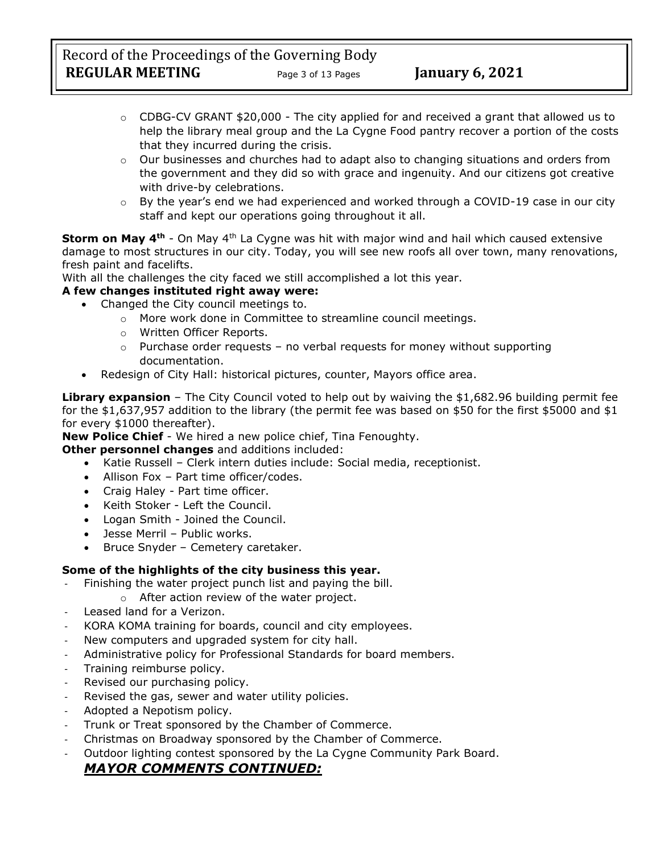Record of the Proceedings of the Governing Body **REGULAR MEETING** Page 3 of 13 Pages **January 6, 2021** 

- $\circ$  CDBG-CV GRANT \$20,000 The city applied for and received a grant that allowed us to help the library meal group and the La Cygne Food pantry recover a portion of the costs that they incurred during the crisis.
- o Our businesses and churches had to adapt also to changing situations and orders from the government and they did so with grace and ingenuity. And our citizens got creative with drive-by celebrations.
- $\circ$  By the year's end we had experienced and worked through a COVID-19 case in our city staff and kept our operations going throughout it all.

**Storm on May 4th** - On May 4th La Cygne was hit with major wind and hail which caused extensive damage to most structures in our city. Today, you will see new roofs all over town, many renovations, fresh paint and facelifts.

With all the challenges the city faced we still accomplished a lot this year.

### **A few changes instituted right away were:**

- Changed the City council meetings to.
	- o More work done in Committee to streamline council meetings.
	- o Written Officer Reports.
	- $\circ$  Purchase order requests no verbal requests for money without supporting documentation.
- Redesign of City Hall: historical pictures, counter, Mayors office area.

**Library expansion** – The City Council voted to help out by waiving the \$1,682.96 building permit fee for the \$1,637,957 addition to the library (the permit fee was based on \$50 for the first \$5000 and \$1 for every \$1000 thereafter).

**New Police Chief** - We hired a new police chief, Tina Fenoughty.

**Other personnel changes** and additions included:

- Katie Russell Clerk intern duties include: Social media, receptionist.
- Allison Fox Part time officer/codes.
- Craig Haley Part time officer.
- Keith Stoker Left the Council.
- Logan Smith Joined the Council.
- Jesse Merril Public works.
- Bruce Snyder Cemetery caretaker.

### **Some of the highlights of the city business this year.**

- Finishing the water project punch list and paying the bill.
	- o After action review of the water project.
- Leased land for a Verizon.
- KORA KOMA training for boards, council and city employees.
- New computers and upgraded system for city hall.
- Administrative policy for Professional Standards for board members.
- Training reimburse policy.
- Revised our purchasing policy.
- Revised the gas, sewer and water utility policies.
- Adopted a Nepotism policy.
- Trunk or Treat sponsored by the Chamber of Commerce.
- Christmas on Broadway sponsored by the Chamber of Commerce.
- Outdoor lighting contest sponsored by the La Cygne Community Park Board.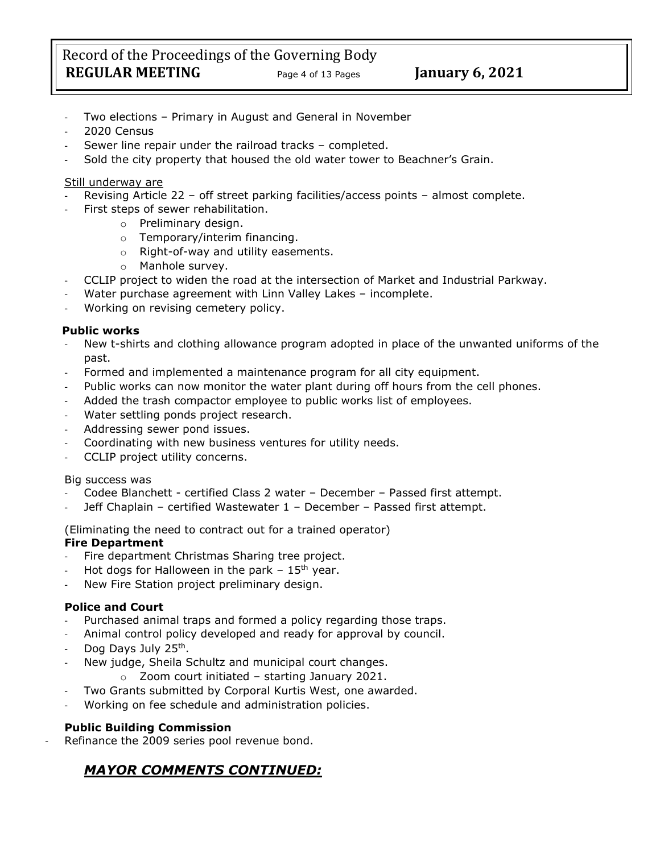- Two elections Primary in August and General in November
- 2020 Census
- Sewer line repair under the railroad tracks completed.
- Sold the city property that housed the old water tower to Beachner's Grain.

### Still underway are

- Revising Article 22 off street parking facilities/access points almost complete.
	- First steps of sewer rehabilitation.
		- o Preliminary design.
		- o Temporary/interim financing.
		- o Right-of-way and utility easements.
		- o Manhole survey.
- CCLIP project to widen the road at the intersection of Market and Industrial Parkway.
- Water purchase agreement with Linn Valley Lakes incomplete.
- Working on revising cemetery policy.

### **Public works**

- New t-shirts and clothing allowance program adopted in place of the unwanted uniforms of the past.
- Formed and implemented a maintenance program for all city equipment.
- Public works can now monitor the water plant during off hours from the cell phones.
- Added the trash compactor employee to public works list of employees.
- Water settling ponds project research.
- Addressing sewer pond issues.
- Coordinating with new business ventures for utility needs.
- CCLIP project utility concerns.

#### Big success was

- Codee Blanchett certified Class 2 water December Passed first attempt.
- Jeff Chaplain certified Wastewater 1 December Passed first attempt.

(Eliminating the need to contract out for a trained operator)

### **Fire Department**

- Fire department Christmas Sharing tree project.
- Hot dogs for Halloween in the park  $-15$ <sup>th</sup> year.
- New Fire Station project preliminary design.

### **Police and Court**

- Purchased animal traps and formed a policy regarding those traps.
- Animal control policy developed and ready for approval by council.
- Dog Days July 25<sup>th</sup>.
- New judge, Sheila Schultz and municipal court changes.
	- o Zoom court initiated starting January 2021.
- Two Grants submitted by Corporal Kurtis West, one awarded.
- Working on fee schedule and administration policies.

### **Public Building Commission**

Refinance the 2009 series pool revenue bond.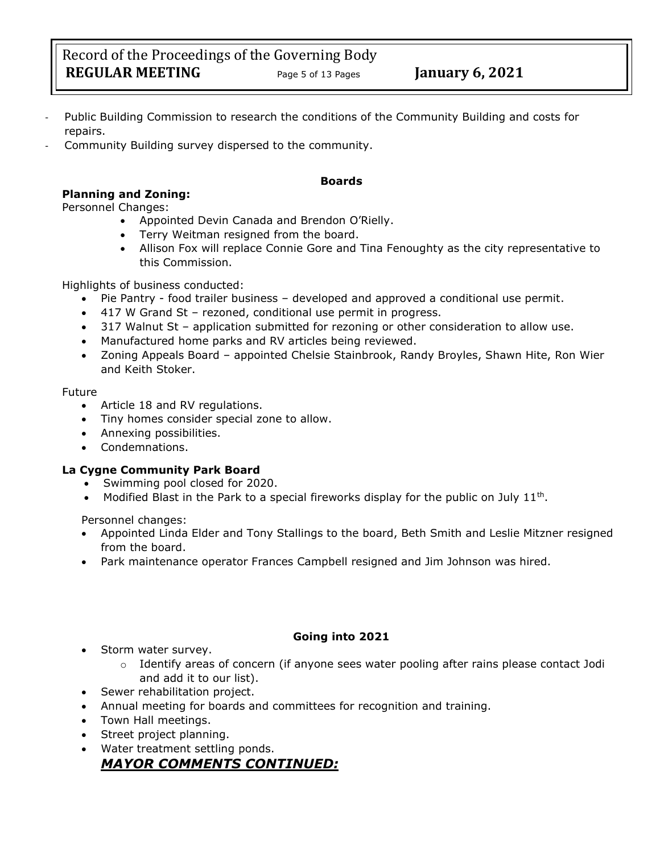Record of the Proceedings of the Governing Body **REGULAR MEETING** Page 5 of 13 Pages **January 6, 2021** 

- Public Building Commission to research the conditions of the Community Building and costs for repairs.
- Community Building survey dispersed to the community.

# **Boards**

# **Planning and Zoning:**

Personnel Changes:

- Appointed Devin Canada and Brendon O'Rielly.
- Terry Weitman resigned from the board.
- Allison Fox will replace Connie Gore and Tina Fenoughty as the city representative to this Commission.

Highlights of business conducted:

- Pie Pantry food trailer business developed and approved a conditional use permit.
- 417 W Grand St rezoned, conditional use permit in progress.
- 317 Walnut St application submitted for rezoning or other consideration to allow use.
- Manufactured home parks and RV articles being reviewed.
- Zoning Appeals Board appointed Chelsie Stainbrook, Randy Broyles, Shawn Hite, Ron Wier and Keith Stoker.

#### Future

- Article 18 and RV regulations.
- Tiny homes consider special zone to allow.
- Annexing possibilities.
- Condemnations.

#### **La Cygne Community Park Board**

- Swimming pool closed for 2020.
- Modified Blast in the Park to a special fireworks display for the public on July  $11^{th}$ .

Personnel changes:

- Appointed Linda Elder and Tony Stallings to the board, Beth Smith and Leslie Mitzner resigned from the board.
- Park maintenance operator Frances Campbell resigned and Jim Johnson was hired.

#### **Going into 2021**

- Storm water survey.
	- $\circ$  Identify areas of concern (if anyone sees water pooling after rains please contact Jodi and add it to our list).
- Sewer rehabilitation project.
- Annual meeting for boards and committees for recognition and training.
- Town Hall meetings.
- Street project planning.
- Water treatment settling ponds.

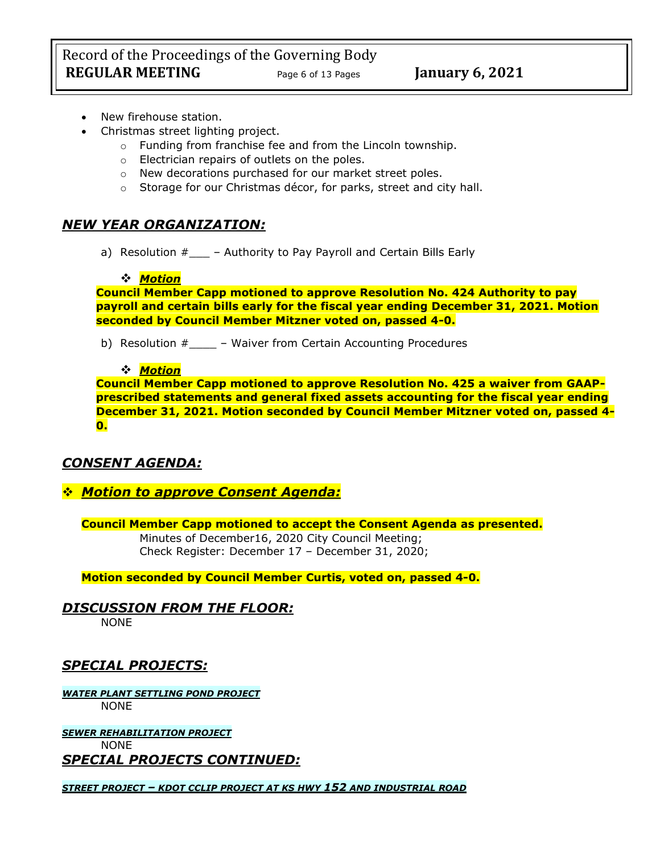Record of the Proceedings of the Governing Body **REGULAR MEETING** Page 6 of 13 Pages **January 6, 2021** 

- New firehouse station.
- Christmas street lighting project.
	- o Funding from franchise fee and from the Lincoln township.
	- o Electrician repairs of outlets on the poles.
	- o New decorations purchased for our market street poles.
	- o Storage for our Christmas décor, for parks, street and city hall.

# *NEW YEAR ORGANIZATION:*

a) Resolution  $#$  – Authority to Pay Payroll and Certain Bills Early

### ❖ *Motion*

**Council Member Capp motioned to approve Resolution No. 424 Authority to pay payroll and certain bills early for the fiscal year ending December 31, 2021. Motion seconded by Council Member Mitzner voted on, passed 4-0.**

b) Resolution #\_\_\_\_ – Waiver from Certain Accounting Procedures

### ❖ *Motion*

**Council Member Capp motioned to approve Resolution No. 425 a waiver from GAAPprescribed statements and general fixed assets accounting for the fiscal year ending December 31, 2021. Motion seconded by Council Member Mitzner voted on, passed 4- 0.**

# *CONSENT AGENDA:*

# ❖ *Motion to approve Consent Agenda:*

**Council Member Capp motioned to accept the Consent Agenda as presented.** Minutes of December16, 2020 City Council Meeting; Check Register: December 17 – December 31, 2020;

**Motion seconded by Council Member Curtis, voted on, passed 4-0.** 

*DISCUSSION FROM THE FLOOR:*

NONE

# *SPECIAL PROJECTS:*

*WATER PLANT SETTLING POND PROJECT* NONE

*SEWER REHABILITATION PROJECT* NONE *SPECIAL PROJECTS CONTINUED:*

*STREET PROJECT – KDOT CCLIP PROJECT AT KS HWY 152 AND INDUSTRIAL ROAD*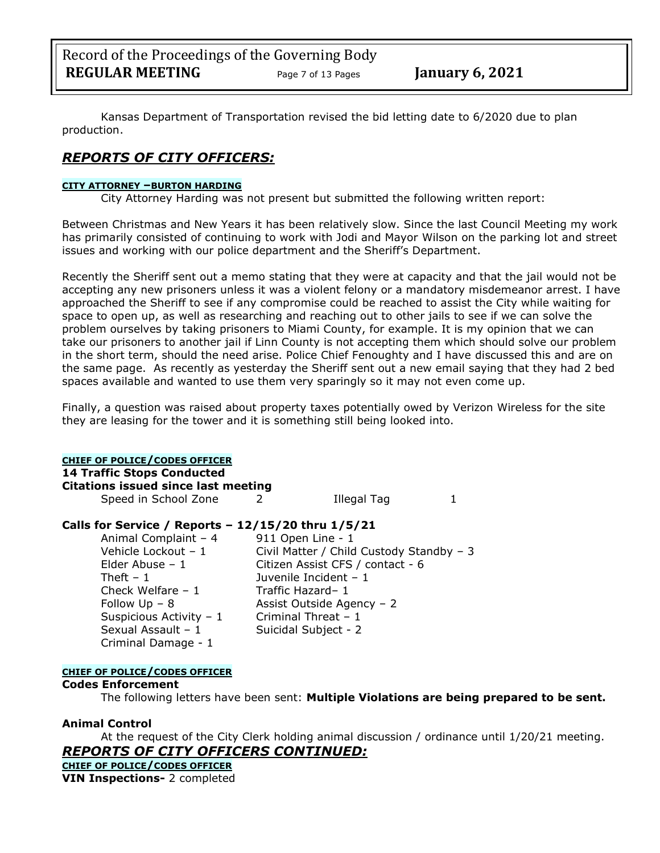Kansas Department of Transportation revised the bid letting date to 6/2020 due to plan production.

# *REPORTS OF CITY OFFICERS:*

#### **CITY ATTORNEY –BURTON HARDING**

City Attorney Harding was not present but submitted the following written report:

Between Christmas and New Years it has been relatively slow. Since the last Council Meeting my work has primarily consisted of continuing to work with Jodi and Mayor Wilson on the parking lot and street issues and working with our police department and the Sheriff's Department.

Recently the Sheriff sent out a memo stating that they were at capacity and that the jail would not be accepting any new prisoners unless it was a violent felony or a mandatory misdemeanor arrest. I have approached the Sheriff to see if any compromise could be reached to assist the City while waiting for space to open up, as well as researching and reaching out to other jails to see if we can solve the problem ourselves by taking prisoners to Miami County, for example. It is my opinion that we can take our prisoners to another jail if Linn County is not accepting them which should solve our problem in the short term, should the need arise. Police Chief Fenoughty and I have discussed this and are on the same page. As recently as yesterday the Sheriff sent out a new email saying that they had 2 bed spaces available and wanted to use them very sparingly so it may not even come up.

Finally, a question was raised about property taxes potentially owed by Verizon Wireless for the site they are leasing for the tower and it is something still being looked into.

#### **CHIEF OF POLICE/CODES OFFICER**

**14 Traffic Stops Conducted**

**Citations issued since last meeting**

Speed in School Zone 2 11eqal Tag 1

### **Calls for Service / Reports – 12/15/20 thru 1/5/21**

Animal Complaint – 4 911 Open Line - 1 Theft – 1 Juvenile Incident – 1 Check Welfare – 1 Traffic Hazard– 1 Suspicious Activity –  $1$  Criminal Threat – 1 Sexual Assault - 1 Suicidal Subject - 2 Criminal Damage - 1

Vehicle Lockout – 1 Civil Matter / Child Custody Standby – 3 Elder Abuse – 1 Citizen Assist CFS / contact - 6 Follow  $Up - 8$  Assist Outside Agency – 2

#### **CHIEF OF POLICE/CODES OFFICER**

#### **Codes Enforcement**

The following letters have been sent: **Multiple Violations are being prepared to be sent.**

#### **Animal Control**

At the request of the City Clerk holding animal discussion / ordinance until 1/20/21 meeting. *REPORTS OF CITY OFFICERS CONTINUED:*

**CHIEF OF POLICE/CODES OFFICER VIN Inspections-** 2 completed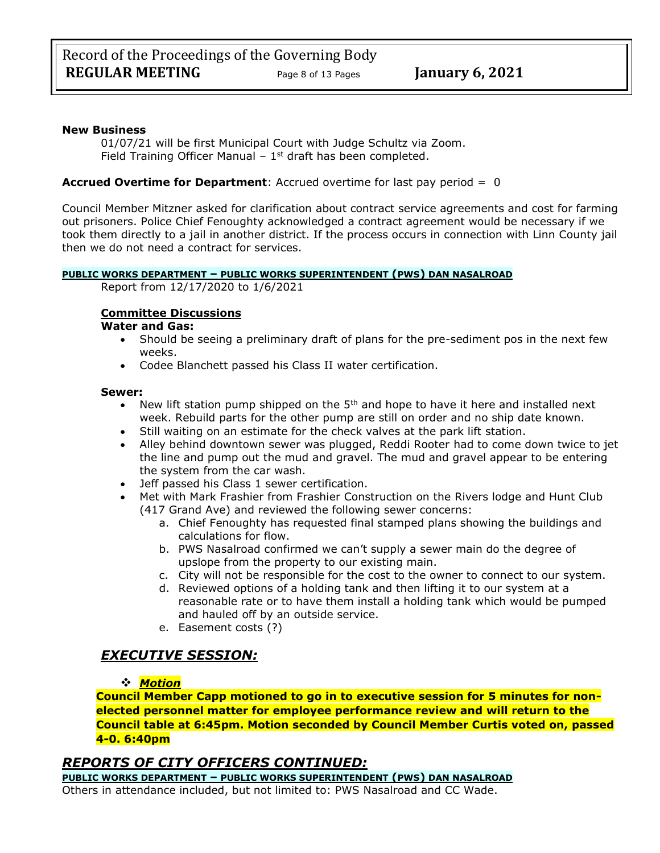#### **New Business**

01/07/21 will be first Municipal Court with Judge Schultz via Zoom. Field Training Officer Manual  $-1<sup>st</sup>$  draft has been completed.

#### **Accrued Overtime for Department**: Accrued overtime for last pay period = 0

Council Member Mitzner asked for clarification about contract service agreements and cost for farming out prisoners. Police Chief Fenoughty acknowledged a contract agreement would be necessary if we took them directly to a jail in another district. If the process occurs in connection with Linn County jail then we do not need a contract for services.

#### **PUBLIC WORKS DEPARTMENT – PUBLIC WORKS SUPERINTENDENT (PWS) DAN NASALROAD**

Report from 12/17/2020 to 1/6/2021

#### **Committee Discussions**

#### **Water and Gas:**

- Should be seeing a preliminary draft of plans for the pre-sediment pos in the next few weeks.
- Codee Blanchett passed his Class II water certification.

#### **Sewer:**

- New lift station pump shipped on the  $5<sup>th</sup>$  and hope to have it here and installed next week. Rebuild parts for the other pump are still on order and no ship date known.
- Still waiting on an estimate for the check valves at the park lift station.
- Alley behind downtown sewer was plugged, Reddi Rooter had to come down twice to jet the line and pump out the mud and gravel. The mud and gravel appear to be entering the system from the car wash.
- Jeff passed his Class 1 sewer certification.
- Met with Mark Frashier from Frashier Construction on the Rivers lodge and Hunt Club (417 Grand Ave) and reviewed the following sewer concerns:
	- a. Chief Fenoughty has requested final stamped plans showing the buildings and calculations for flow.
	- b. PWS Nasalroad confirmed we can't supply a sewer main do the degree of upslope from the property to our existing main.
	- c. City will not be responsible for the cost to the owner to connect to our system.
	- d. Reviewed options of a holding tank and then lifting it to our system at a reasonable rate or to have them install a holding tank which would be pumped and hauled off by an outside service.
	- e. Easement costs (?)

# *EXECUTIVE SESSION:*

#### ❖ *Motion*

**Council Member Capp motioned to go in to executive session for 5 minutes for nonelected personnel matter for employee performance review and will return to the Council table at 6:45pm. Motion seconded by Council Member Curtis voted on, passed 4-0. 6:40pm** 

### *REPORTS OF CITY OFFICERS CONTINUED:*

**PUBLIC WORKS DEPARTMENT – PUBLIC WORKS SUPERINTENDENT (PWS) DAN NASALROAD**

Others in attendance included, but not limited to: PWS Nasalroad and CC Wade.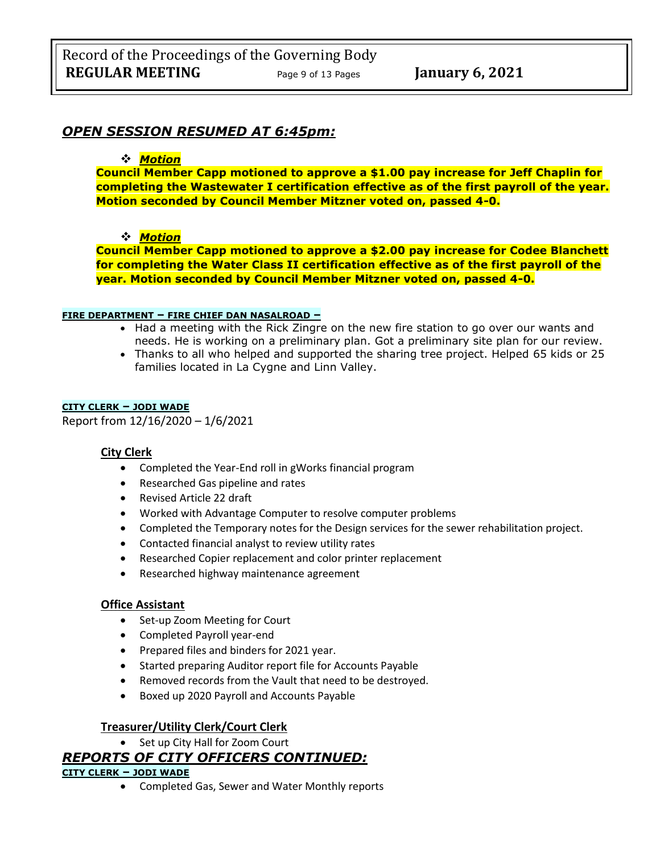# *OPEN SESSION RESUMED AT 6:45pm:*

#### ❖ *Motion*

**Council Member Capp motioned to approve a \$1.00 pay increase for Jeff Chaplin for completing the Wastewater I certification effective as of the first payroll of the year. Motion seconded by Council Member Mitzner voted on, passed 4-0.**

#### ❖ *Motion*

**Council Member Capp motioned to approve a \$2.00 pay increase for Codee Blanchett for completing the Water Class II certification effective as of the first payroll of the year. Motion seconded by Council Member Mitzner voted on, passed 4-0.**

#### **FIRE DEPARTMENT – FIRE CHIEF DAN NASALROAD –**

- Had a meeting with the Rick Zingre on the new fire station to go over our wants and needs. He is working on a preliminary plan. Got a preliminary site plan for our review.
- Thanks to all who helped and supported the sharing tree project. Helped 65 kids or 25 families located in La Cygne and Linn Valley.

#### **CITY CLERK – JODI WADE**

Report from 12/16/2020 – 1/6/2021

#### **City Clerk**

- Completed the Year-End roll in gWorks financial program
- Researched Gas pipeline and rates
- Revised Article 22 draft
- Worked with Advantage Computer to resolve computer problems
- Completed the Temporary notes for the Design services for the sewer rehabilitation project.
- Contacted financial analyst to review utility rates
- Researched Copier replacement and color printer replacement
- Researched highway maintenance agreement

#### **Office Assistant**

- Set-up Zoom Meeting for Court
- Completed Payroll year-end
- Prepared files and binders for 2021 year.
- Started preparing Auditor report file for Accounts Payable
- Removed records from the Vault that need to be destroyed.
- Boxed up 2020 Payroll and Accounts Payable

#### **Treasurer/Utility Clerk/Court Clerk**

• Set up City Hall for Zoom Court

# *REPORTS OF CITY OFFICERS CONTINUED:*

#### **CITY CLERK – JODI WADE**

• Completed Gas, Sewer and Water Monthly reports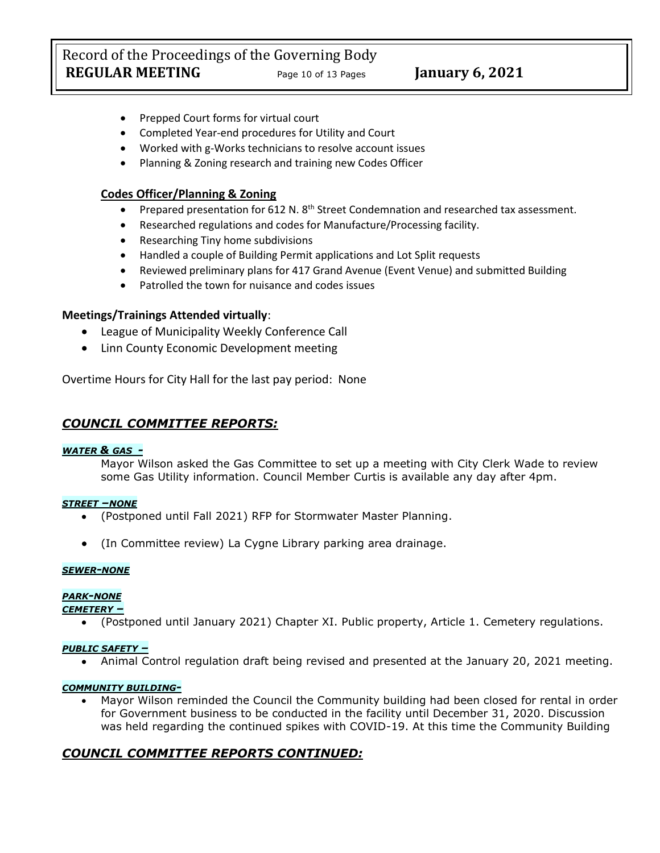Record of the Proceedings of the Governing Body **REGULAR MEETING** Page <sup>10</sup> of 13 Pages **January 6, 2021**

- Prepped Court forms for virtual court
- Completed Year-end procedures for Utility and Court
- Worked with g-Works technicians to resolve account issues
- Planning & Zoning research and training new Codes Officer

### **Codes Officer/Planning & Zoning**

- Prepared presentation for 612 N. 8<sup>th</sup> Street Condemnation and researched tax assessment.
- Researched regulations and codes for Manufacture/Processing facility.
- Researching Tiny home subdivisions
- Handled a couple of Building Permit applications and Lot Split requests
- Reviewed preliminary plans for 417 Grand Avenue (Event Venue) and submitted Building
- Patrolled the town for nuisance and codes issues

### **Meetings/Trainings Attended virtually**:

- League of Municipality Weekly Conference Call
- Linn County Economic Development meeting

Overtime Hours for City Hall for the last pay period: None

### *COUNCIL COMMITTEE REPORTS:*

#### *WATER & GAS -*

Mayor Wilson asked the Gas Committee to set up a meeting with City Clerk Wade to review some Gas Utility information. Council Member Curtis is available any day after 4pm.

#### *STREET –NONE*

- (Postponed until Fall 2021) RFP for Stormwater Master Planning.
- (In Committee review) La Cygne Library parking area drainage.

#### *SEWER-NONE*

#### *PARK-NONE*

*CEMETERY –*

• (Postponed until January 2021) Chapter XI. Public property, Article 1. Cemetery regulations.

#### *PUBLIC SAFETY –*

• Animal Control regulation draft being revised and presented at the January 20, 2021 meeting.

#### *COMMUNITY BUILDING-*

• Mayor Wilson reminded the Council the Community building had been closed for rental in order for Government business to be conducted in the facility until December 31, 2020. Discussion was held regarding the continued spikes with COVID-19. At this time the Community Building

# *COUNCIL COMMITTEE REPORTS CONTINUED:*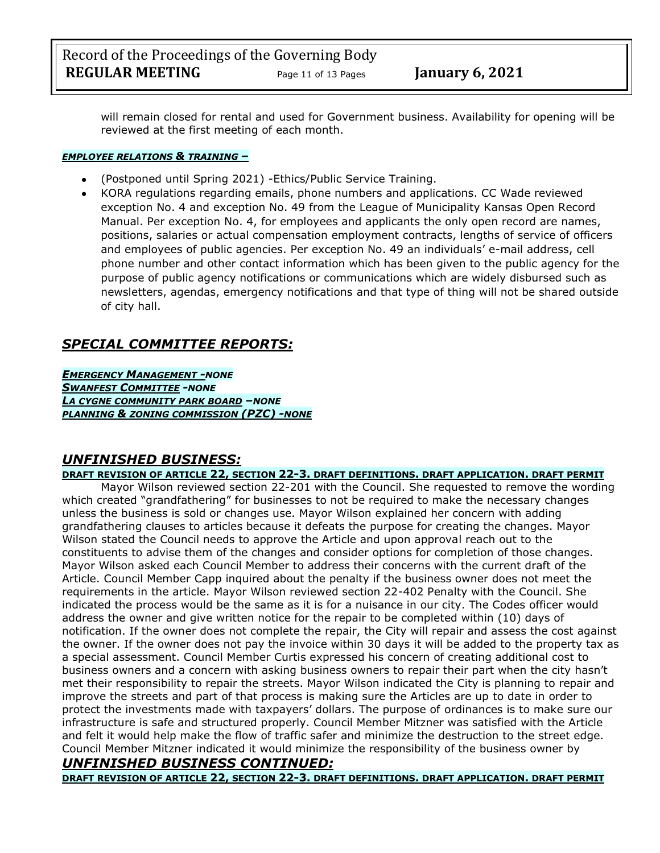Record of the Proceedings of the Governing Body **REGULAR MEETING** Page <sup>11</sup> of 13 Pages **January 6, 2021**

will remain closed for rental and used for Government business. Availability for opening will be reviewed at the first meeting of each month.

#### *EMPLOYEE RELATIONS & TRAINING –*

- (Postponed until Spring 2021) -Ethics/Public Service Training.
- KORA regulations regarding emails, phone numbers and applications. CC Wade reviewed exception No. 4 and exception No. 49 from the League of Municipality Kansas Open Record Manual. Per exception No. 4, for employees and applicants the only open record are names, positions, salaries or actual compensation employment contracts, lengths of service of officers and employees of public agencies. Per exception No. 49 an individuals' e-mail address, cell phone number and other contact information which has been given to the public agency for the purpose of public agency notifications or communications which are widely disbursed such as newsletters, agendas, emergency notifications and that type of thing will not be shared outside of city hall.

# *SPECIAL COMMITTEE REPORTS:*

*EMERGENCY MANAGEMENT -NONE SWANFEST COMMITTEE -NONE LA CYGNE COMMUNITY PARK BOARD –NONE PLANNING & ZONING COMMISSION (PZC) -NONE*

# *UNFINISHED BUSINESS:*

#### **DRAFT REVISION OF ARTICLE 22, SECTION 22-3. DRAFT DEFINITIONS. DRAFT APPLICATION. DRAFT PERMIT**

Mayor Wilson reviewed section 22-201 with the Council. She requested to remove the wording which created "grandfathering" for businesses to not be required to make the necessary changes unless the business is sold or changes use. Mayor Wilson explained her concern with adding grandfathering clauses to articles because it defeats the purpose for creating the changes. Mayor Wilson stated the Council needs to approve the Article and upon approval reach out to the constituents to advise them of the changes and consider options for completion of those changes. Mayor Wilson asked each Council Member to address their concerns with the current draft of the Article. Council Member Capp inquired about the penalty if the business owner does not meet the requirements in the article. Mayor Wilson reviewed section 22-402 Penalty with the Council. She indicated the process would be the same as it is for a nuisance in our city. The Codes officer would address the owner and give written notice for the repair to be completed within (10) days of notification. If the owner does not complete the repair, the City will repair and assess the cost against the owner. If the owner does not pay the invoice within 30 days it will be added to the property tax as a special assessment. Council Member Curtis expressed his concern of creating additional cost to business owners and a concern with asking business owners to repair their part when the city hasn't met their responsibility to repair the streets. Mayor Wilson indicated the City is planning to repair and improve the streets and part of that process is making sure the Articles are up to date in order to protect the investments made with taxpayers' dollars. The purpose of ordinances is to make sure our infrastructure is safe and structured properly. Council Member Mitzner was satisfied with the Article and felt it would help make the flow of traffic safer and minimize the destruction to the street edge. Council Member Mitzner indicated it would minimize the responsibility of the business owner by

#### *UNFINISHED BUSINESS CONTINUED:* **DRAFT REVISION OF ARTICLE 22, SECTION 22-3. DRAFT DEFINITIONS. DRAFT APPLICATION. DRAFT PERMIT**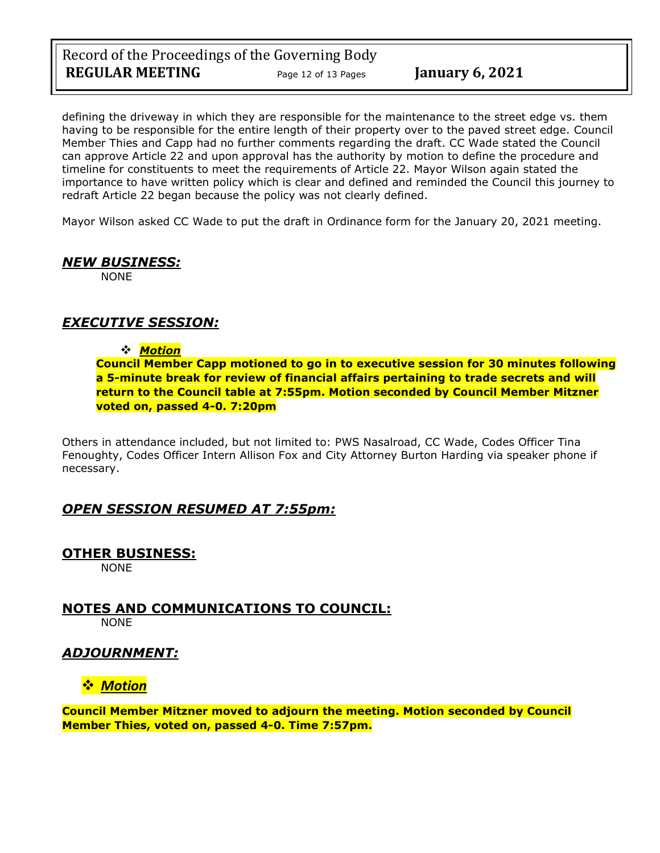Record of the Proceedings of the Governing Body **REGULAR MEETING** Page 12 of 13 Pages **January 6, 2021** 

defining the driveway in which they are responsible for the maintenance to the street edge vs. them having to be responsible for the entire length of their property over to the paved street edge. Council Member Thies and Capp had no further comments regarding the draft. CC Wade stated the Council can approve Article 22 and upon approval has the authority by motion to define the procedure and timeline for constituents to meet the requirements of Article 22. Mayor Wilson again stated the importance to have written policy which is clear and defined and reminded the Council this journey to redraft Article 22 began because the policy was not clearly defined.

Mayor Wilson asked CC Wade to put the draft in Ordinance form for the January 20, 2021 meeting.

# *NEW BUSINESS:*

NONE

# *EXECUTIVE SESSION:*

#### ❖ *Motion*

**Council Member Capp motioned to go in to executive session for 30 minutes following a 5-minute break for review of financial affairs pertaining to trade secrets and will return to the Council table at 7:55pm. Motion seconded by Council Member Mitzner voted on, passed 4-0. 7:20pm** 

Others in attendance included, but not limited to: PWS Nasalroad, CC Wade, Codes Officer Tina Fenoughty, Codes Officer Intern Allison Fox and City Attorney Burton Harding via speaker phone if necessary.

### *OPEN SESSION RESUMED AT 7:55pm:*

### **OTHER BUSINESS:**

NONE

**NOTES AND COMMUNICATIONS TO COUNCIL:** NONE

### *ADJOURNMENT:*

### ❖ *Motion*

**Council Member Mitzner moved to adjourn the meeting. Motion seconded by Council Member Thies, voted on, passed 4-0. Time 7:57pm.**